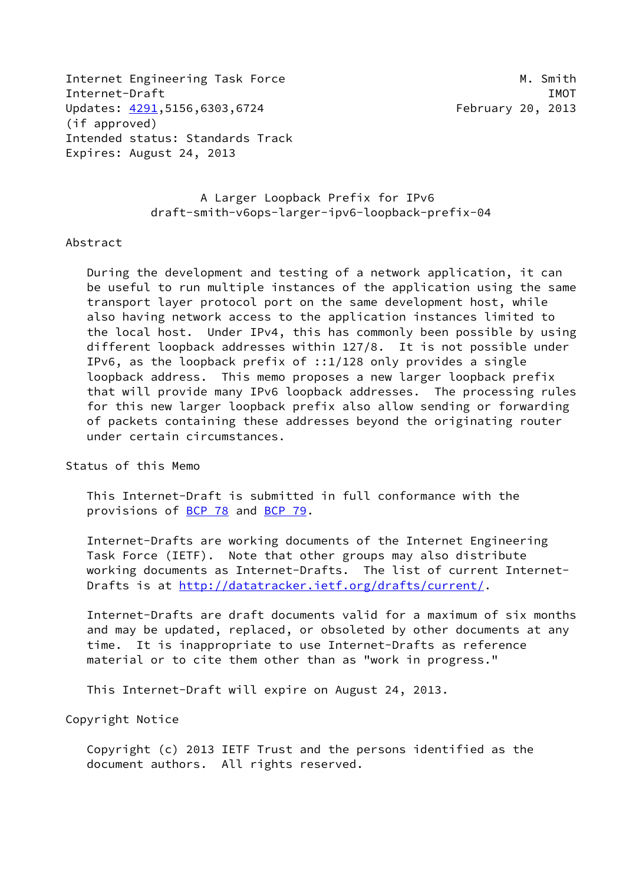Internet Engineering Task Force M. Smith Internet-Draft IMOT Updates: [4291](https://datatracker.ietf.org/doc/pdf/rfc4291),5156,6303,6724 February 20, 2013 (if approved) Intended status: Standards Track Expires: August 24, 2013

 A Larger Loopback Prefix for IPv6 draft-smith-v6ops-larger-ipv6-loopback-prefix-04

#### Abstract

 During the development and testing of a network application, it can be useful to run multiple instances of the application using the same transport layer protocol port on the same development host, while also having network access to the application instances limited to the local host. Under IPv4, this has commonly been possible by using different loopback addresses within 127/8. It is not possible under IPv6, as the loopback prefix of ::1/128 only provides a single loopback address. This memo proposes a new larger loopback prefix that will provide many IPv6 loopback addresses. The processing rules for this new larger loopback prefix also allow sending or forwarding of packets containing these addresses beyond the originating router under certain circumstances.

### Status of this Memo

 This Internet-Draft is submitted in full conformance with the provisions of [BCP 78](https://datatracker.ietf.org/doc/pdf/bcp78) and [BCP 79](https://datatracker.ietf.org/doc/pdf/bcp79).

 Internet-Drafts are working documents of the Internet Engineering Task Force (IETF). Note that other groups may also distribute working documents as Internet-Drafts. The list of current Internet- Drafts is at<http://datatracker.ietf.org/drafts/current/>.

 Internet-Drafts are draft documents valid for a maximum of six months and may be updated, replaced, or obsoleted by other documents at any time. It is inappropriate to use Internet-Drafts as reference material or to cite them other than as "work in progress."

This Internet-Draft will expire on August 24, 2013.

Copyright Notice

 Copyright (c) 2013 IETF Trust and the persons identified as the document authors. All rights reserved.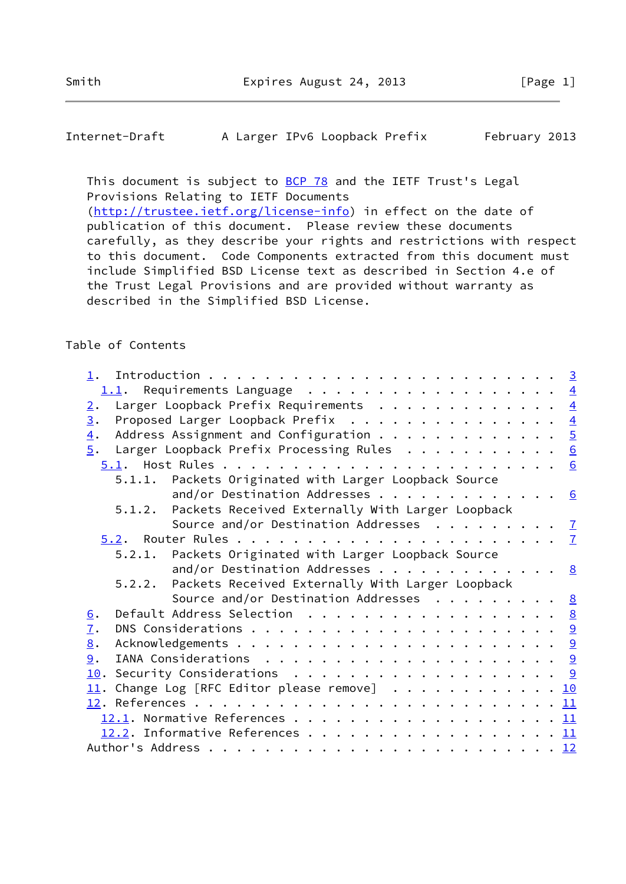## Internet-Draft A Larger IPv6 Loopback Prefix February 2013

This document is subject to **[BCP 78](https://datatracker.ietf.org/doc/pdf/bcp78)** and the IETF Trust's Legal Provisions Relating to IETF Documents [\(http://trustee.ietf.org/license-info](http://trustee.ietf.org/license-info)) in effect on the date of publication of this document. Please review these documents carefully, as they describe your rights and restrictions with respect to this document. Code Components extracted from this document must include Simplified BSD License text as described in Section 4.e of

 the Trust Legal Provisions and are provided without warranty as described in the Simplified BSD License.

## Table of Contents

| 1.1. Requirements Language $\frac{4}{5}$                                                                |  |
|---------------------------------------------------------------------------------------------------------|--|
| Larger Loopback Prefix Requirements 4<br>2.                                                             |  |
| Proposed Larger Loopback Prefix 4<br>$\overline{3}$ .                                                   |  |
| Address Assignment and Configuration $\frac{5}{2}$<br>$\overline{4}$ .                                  |  |
| $\underline{5}$ . Larger Loopback Prefix Processing Rules 6                                             |  |
|                                                                                                         |  |
| 5.1.1. Packets Originated with Larger Loopback Source                                                   |  |
| and/or Destination Addresses 6                                                                          |  |
| 5.1.2. Packets Received Externally With Larger Loopback                                                 |  |
| Source and/or Destination Addresses $\cdots$ 7                                                          |  |
|                                                                                                         |  |
| 5.2.1. Packets Originated with Larger Loopback Source                                                   |  |
| and/or Destination Addresses 8                                                                          |  |
| Packets Received Externally With Larger Loopback<br>5.2.2.                                              |  |
| Source and/or Destination Addresses $\cdot \cdot \cdot \cdot \cdot \cdot \cdot \cdot \cdot \frac{8}{2}$ |  |
| Default Address Selection 8<br>6.                                                                       |  |
| $\overline{1}$ .                                                                                        |  |
| 8.                                                                                                      |  |
| 9.                                                                                                      |  |
| 10. Security Considerations 9                                                                           |  |
| $11$ . Change Log [RFC Editor please remove] 10                                                         |  |
|                                                                                                         |  |
|                                                                                                         |  |
| 12.2. Informative References 11                                                                         |  |
|                                                                                                         |  |
|                                                                                                         |  |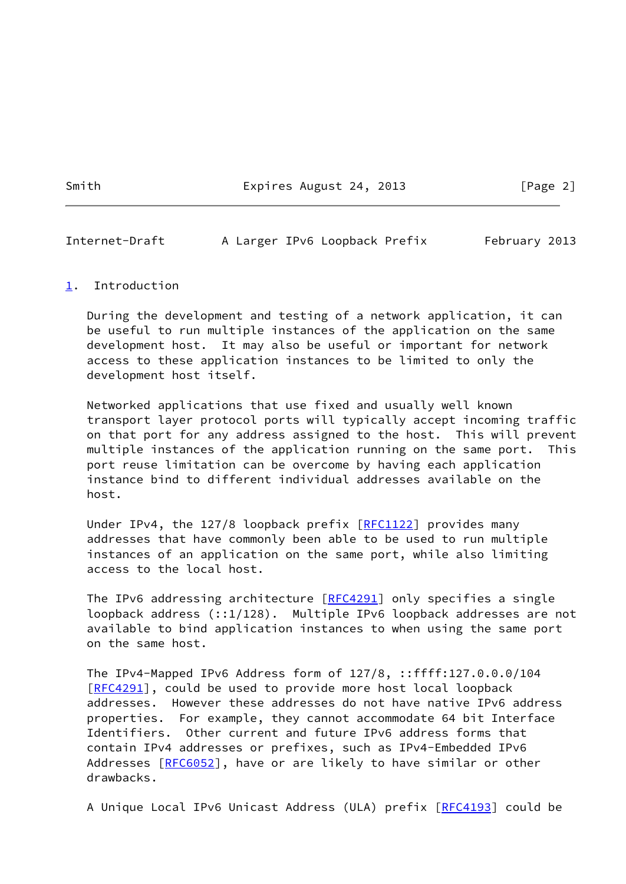Smith Expires August 24, 2013 [Page 2]

<span id="page-2-1"></span>Internet-Draft A Larger IPv6 Loopback Prefix February 2013

#### <span id="page-2-0"></span>[1](#page-2-0). Introduction

 During the development and testing of a network application, it can be useful to run multiple instances of the application on the same development host. It may also be useful or important for network access to these application instances to be limited to only the development host itself.

 Networked applications that use fixed and usually well known transport layer protocol ports will typically accept incoming traffic on that port for any address assigned to the host. This will prevent multiple instances of the application running on the same port. This port reuse limitation can be overcome by having each application instance bind to different individual addresses available on the host.

Under IPv4, the 127/8 loopback prefix [[RFC1122](https://datatracker.ietf.org/doc/pdf/rfc1122)] provides many addresses that have commonly been able to be used to run multiple instances of an application on the same port, while also limiting access to the local host.

The IPv6 addressing architecture [\[RFC4291](https://datatracker.ietf.org/doc/pdf/rfc4291)] only specifies a single loopback address (::1/128). Multiple IPv6 loopback addresses are not available to bind application instances to when using the same port on the same host.

 The IPv4-Mapped IPv6 Address form of 127/8, ::ffff:127.0.0.0/104 [\[RFC4291](https://datatracker.ietf.org/doc/pdf/rfc4291)], could be used to provide more host local loopback addresses. However these addresses do not have native IPv6 address properties. For example, they cannot accommodate 64 bit Interface Identifiers. Other current and future IPv6 address forms that contain IPv4 addresses or prefixes, such as IPv4-Embedded IPv6 Addresses [[RFC6052](https://datatracker.ietf.org/doc/pdf/rfc6052)], have or are likely to have similar or other drawbacks.

A Unique Local IPv6 Unicast Address (ULA) prefix [\[RFC4193](https://datatracker.ietf.org/doc/pdf/rfc4193)] could be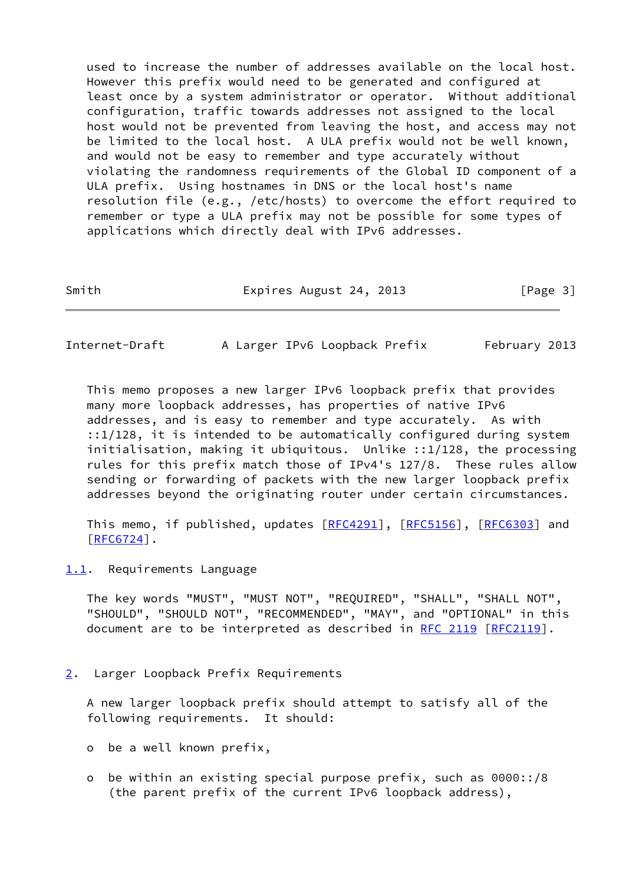used to increase the number of addresses available on the local host. However this prefix would need to be generated and configured at least once by a system administrator or operator. Without additional configuration, traffic towards addresses not assigned to the local host would not be prevented from leaving the host, and access may not be limited to the local host. A ULA prefix would not be well known, and would not be easy to remember and type accurately without violating the randomness requirements of the Global ID component of a ULA prefix. Using hostnames in DNS or the local host's name resolution file (e.g., /etc/hosts) to overcome the effort required to remember or type a ULA prefix may not be possible for some types of applications which directly deal with IPv6 addresses.

Smith Expires August 24, 2013 [Page 3]

<span id="page-3-1"></span>Internet-Draft A Larger IPv6 Loopback Prefix February 2013

 This memo proposes a new larger IPv6 loopback prefix that provides many more loopback addresses, has properties of native IPv6 addresses, and is easy to remember and type accurately. As with ::1/128, it is intended to be automatically configured during system initialisation, making it ubiquitous. Unlike ::1/128, the processing rules for this prefix match those of IPv4's 127/8. These rules allow sending or forwarding of packets with the new larger loopback prefix addresses beyond the originating router under certain circumstances.

This memo, if published, updates  $[REC4291]$ ,  $[REC5156]$ ,  $[REC6303]$  and [\[RFC6724](https://datatracker.ietf.org/doc/pdf/rfc6724)].

<span id="page-3-0"></span>[1.1](#page-3-0). Requirements Language

 The key words "MUST", "MUST NOT", "REQUIRED", "SHALL", "SHALL NOT", "SHOULD", "SHOULD NOT", "RECOMMENDED", "MAY", and "OPTIONAL" in this document are to be interpreted as described in [RFC 2119 \[RFC2119](https://datatracker.ietf.org/doc/pdf/rfc2119)].

<span id="page-3-2"></span>[2](#page-3-2). Larger Loopback Prefix Requirements

 A new larger loopback prefix should attempt to satisfy all of the following requirements. It should:

- o be a well known prefix,
- o be within an existing special purpose prefix, such as 0000::/8 (the parent prefix of the current IPv6 loopback address),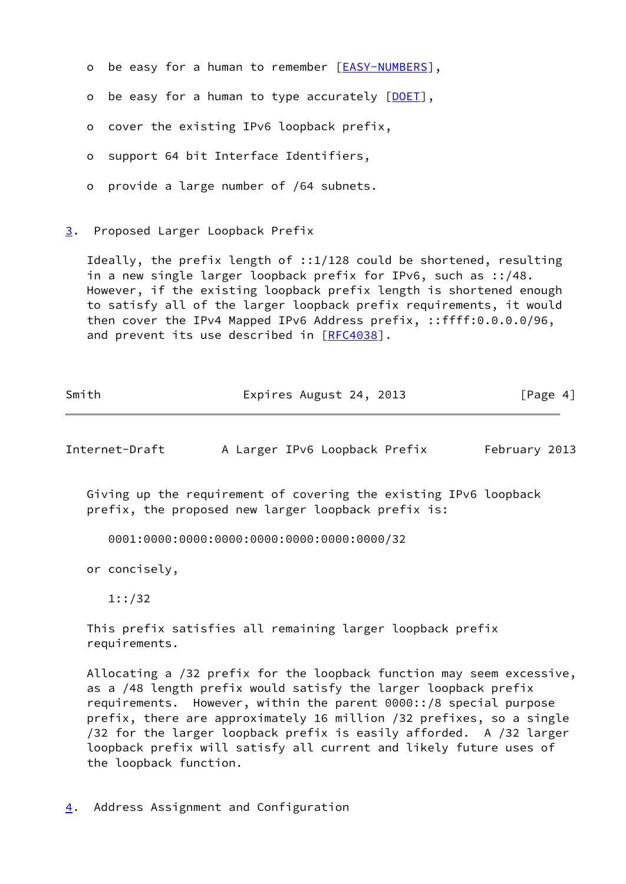- o be easy for a human to remember [[EASY-NUMBERS\]](#page-12-2),
- o be easy for a human to type accurately [[DOET\]](#page-12-3),
- o cover the existing IPv6 loopback prefix,
- o support 64 bit Interface Identifiers,
- o provide a large number of /64 subnets.
- <span id="page-4-0"></span>[3](#page-4-0). Proposed Larger Loopback Prefix

 Ideally, the prefix length of ::1/128 could be shortened, resulting in a new single larger loopback prefix for IPv6, such as ::/48. However, if the existing loopback prefix length is shortened enough to satisfy all of the larger loopback prefix requirements, it would then cover the IPv4 Mapped IPv6 Address prefix, ::ffff:0.0.0.0/96, and prevent its use described in [\[RFC4038](https://datatracker.ietf.org/doc/pdf/rfc4038)].

| Smith | Expires August 24, 2013 | [Page 4] |
|-------|-------------------------|----------|
|       |                         |          |

<span id="page-4-2"></span>Internet-Draft A Larger IPv6 Loopback Prefix February 2013

 Giving up the requirement of covering the existing IPv6 loopback prefix, the proposed new larger loopback prefix is:

0001:0000:0000:0000:0000:0000:0000:0000/32

or concisely,

 This prefix satisfies all remaining larger loopback prefix requirements.

 Allocating a /32 prefix for the loopback function may seem excessive, as a /48 length prefix would satisfy the larger loopback prefix requirements. However, within the parent 0000::/8 special purpose prefix, there are approximately 16 million /32 prefixes, so a single /32 for the larger loopback prefix is easily afforded. A /32 larger loopback prefix will satisfy all current and likely future uses of the loopback function.

<span id="page-4-1"></span>[4](#page-4-1). Address Assignment and Configuration

 <sup>1::/32</sup>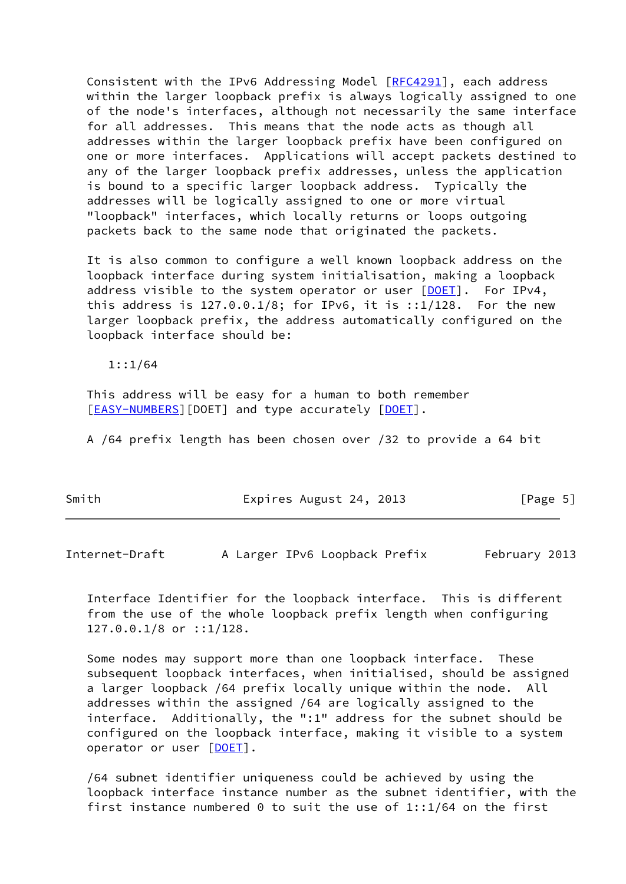Consistent with the IPv6 Addressing Model [[RFC4291](https://datatracker.ietf.org/doc/pdf/rfc4291)], each address within the larger loopback prefix is always logically assigned to one of the node's interfaces, although not necessarily the same interface for all addresses. This means that the node acts as though all addresses within the larger loopback prefix have been configured on one or more interfaces. Applications will accept packets destined to any of the larger loopback prefix addresses, unless the application is bound to a specific larger loopback address. Typically the addresses will be logically assigned to one or more virtual "loopback" interfaces, which locally returns or loops outgoing packets back to the same node that originated the packets.

 It is also common to configure a well known loopback address on the loopback interface during system initialisation, making a loopback address visible to the system operator or user [\[DOET](#page-12-3)]. For IPv4, this address is  $127.0.0.1/8$ ; for IPv6, it is  $::1/128$ . For the new larger loopback prefix, the address automatically configured on the loopback interface should be:

1::1/64

 This address will be easy for a human to both remember [\[EASY-NUMBERS](#page-12-2)][\[DOET](#page-12-3)] and type accurately [DOET].

A /64 prefix length has been chosen over /32 to provide a 64 bit

| Smith | Expires August 24, 2013 | [Page 5] |
|-------|-------------------------|----------|
|-------|-------------------------|----------|

<span id="page-5-0"></span>Internet-Draft A Larger IPv6 Loopback Prefix February 2013

 Interface Identifier for the loopback interface. This is different from the use of the whole loopback prefix length when configuring 127.0.0.1/8 or ::1/128.

 Some nodes may support more than one loopback interface. These subsequent loopback interfaces, when initialised, should be assigned a larger loopback /64 prefix locally unique within the node. All addresses within the assigned /64 are logically assigned to the interface. Additionally, the ":1" address for the subnet should be configured on the loopback interface, making it visible to a system operator or user [\[DOET](#page-12-3)].

 /64 subnet identifier uniqueness could be achieved by using the loopback interface instance number as the subnet identifier, with the first instance numbered  $0$  to suit the use of 1::1/64 on the first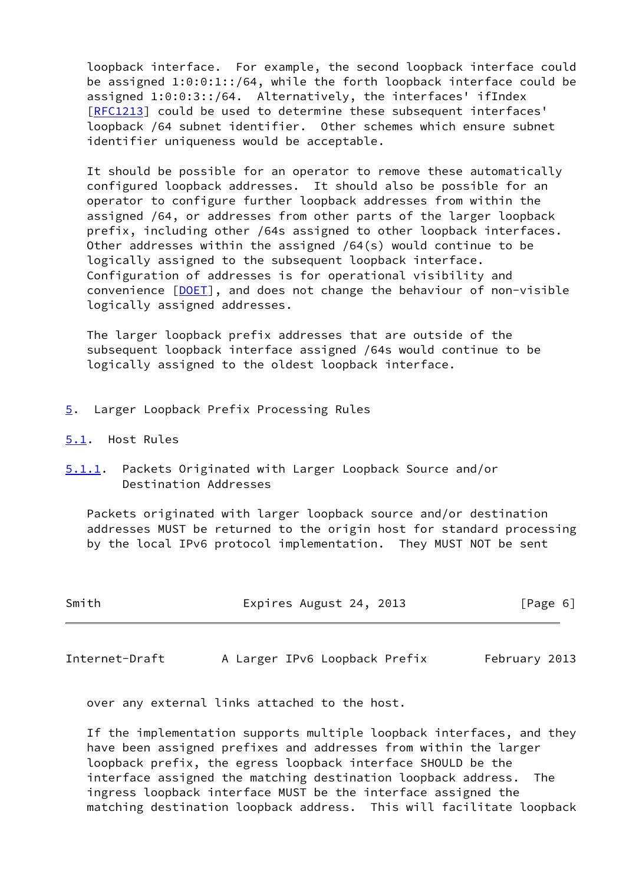loopback interface. For example, the second loopback interface could be assigned 1:0:0:1::/64, while the forth loopback interface could be assigned 1:0:0:3::/64. Alternatively, the interfaces' ifIndex [\[RFC1213](https://datatracker.ietf.org/doc/pdf/rfc1213)] could be used to determine these subsequent interfaces' loopback /64 subnet identifier. Other schemes which ensure subnet identifier uniqueness would be acceptable.

 It should be possible for an operator to remove these automatically configured loopback addresses. It should also be possible for an operator to configure further loopback addresses from within the assigned /64, or addresses from other parts of the larger loopback prefix, including other /64s assigned to other loopback interfaces. Other addresses within the assigned /64(s) would continue to be logically assigned to the subsequent loopback interface. Configuration of addresses is for operational visibility and convenience [\[DOET](#page-12-3)], and does not change the behaviour of non-visible logically assigned addresses.

 The larger loopback prefix addresses that are outside of the subsequent loopback interface assigned /64s would continue to be logically assigned to the oldest loopback interface.

- <span id="page-6-0"></span>[5](#page-6-0). Larger Loopback Prefix Processing Rules
- <span id="page-6-1"></span>[5.1](#page-6-1). Host Rules
- <span id="page-6-3"></span>[5.1.1](#page-6-3). Packets Originated with Larger Loopback Source and/or Destination Addresses

 Packets originated with larger loopback source and/or destination addresses MUST be returned to the origin host for standard processing by the local IPv6 protocol implementation. They MUST NOT be sent

| Smith | Expires August 24, 2013 | [Page 6] |
|-------|-------------------------|----------|
|-------|-------------------------|----------|

<span id="page-6-2"></span>Internet-Draft A Larger IPv6 Loopback Prefix February 2013

over any external links attached to the host.

 If the implementation supports multiple loopback interfaces, and they have been assigned prefixes and addresses from within the larger loopback prefix, the egress loopback interface SHOULD be the interface assigned the matching destination loopback address. The ingress loopback interface MUST be the interface assigned the matching destination loopback address. This will facilitate loopback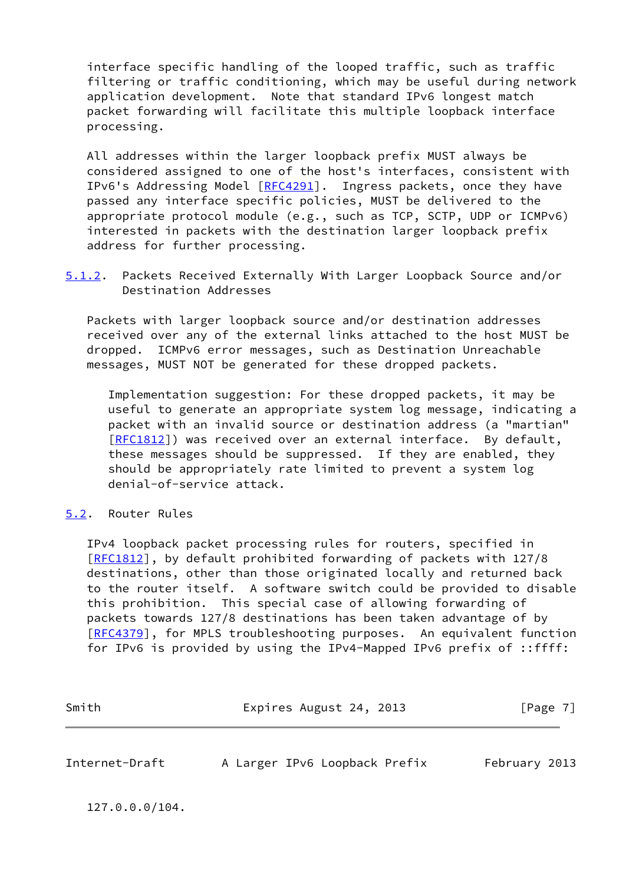interface specific handling of the looped traffic, such as traffic filtering or traffic conditioning, which may be useful during network application development. Note that standard IPv6 longest match packet forwarding will facilitate this multiple loopback interface processing.

 All addresses within the larger loopback prefix MUST always be considered assigned to one of the host's interfaces, consistent with IPv6's Addressing Model [\[RFC4291](https://datatracker.ietf.org/doc/pdf/rfc4291)]. Ingress packets, once they have passed any interface specific policies, MUST be delivered to the appropriate protocol module (e.g., such as TCP, SCTP, UDP or ICMPv6) interested in packets with the destination larger loopback prefix address for further processing.

<span id="page-7-2"></span>[5.1.2](#page-7-2). Packets Received Externally With Larger Loopback Source and/or Destination Addresses

 Packets with larger loopback source and/or destination addresses received over any of the external links attached to the host MUST be dropped. ICMPv6 error messages, such as Destination Unreachable messages, MUST NOT be generated for these dropped packets.

 Implementation suggestion: For these dropped packets, it may be useful to generate an appropriate system log message, indicating a packet with an invalid source or destination address (a "martian" [[RFC1812\]](https://datatracker.ietf.org/doc/pdf/rfc1812)) was received over an external interface. By default, these messages should be suppressed. If they are enabled, they should be appropriately rate limited to prevent a system log denial-of-service attack.

# <span id="page-7-0"></span>[5.2](#page-7-0). Router Rules

 IPv4 loopback packet processing rules for routers, specified in [\[RFC1812](https://datatracker.ietf.org/doc/pdf/rfc1812)], by default prohibited forwarding of packets with 127/8 destinations, other than those originated locally and returned back to the router itself. A software switch could be provided to disable this prohibition. This special case of allowing forwarding of packets towards 127/8 destinations has been taken advantage of by [\[RFC4379](https://datatracker.ietf.org/doc/pdf/rfc4379)], for MPLS troubleshooting purposes. An equivalent function for IPv6 is provided by using the IPv4-Mapped IPv6 prefix of ::ffff:

| Smith | Expires August 24, 2013 | [Page 7] |
|-------|-------------------------|----------|
|       |                         |          |

<span id="page-7-1"></span>Internet-Draft A Larger IPv6 Loopback Prefix February 2013

127.0.0.0/104.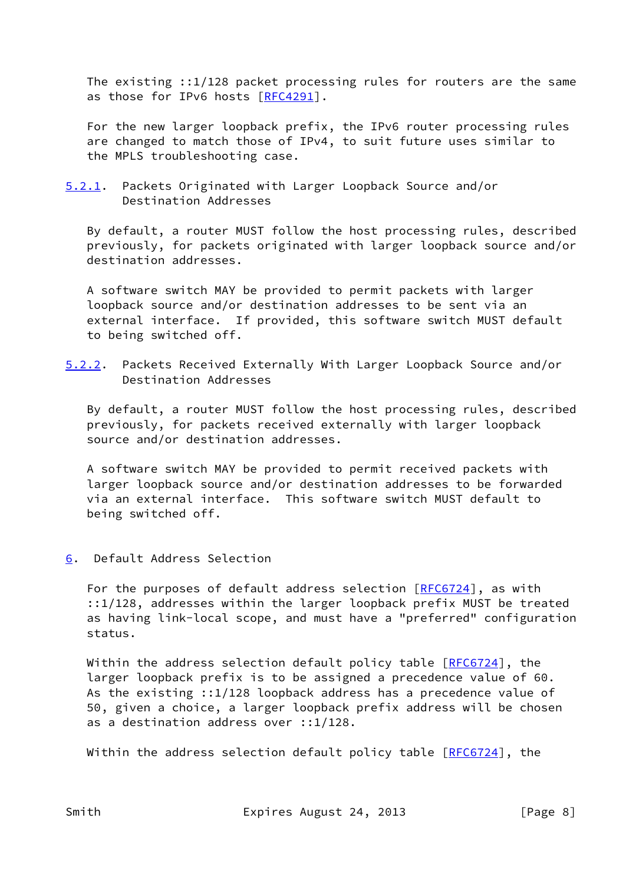The existing ::1/128 packet processing rules for routers are the same as those for IPv6 hosts [\[RFC4291](https://datatracker.ietf.org/doc/pdf/rfc4291)].

 For the new larger loopback prefix, the IPv6 router processing rules are changed to match those of IPv4, to suit future uses similar to the MPLS troubleshooting case.

<span id="page-8-1"></span>[5.2.1](#page-8-1). Packets Originated with Larger Loopback Source and/or Destination Addresses

 By default, a router MUST follow the host processing rules, described previously, for packets originated with larger loopback source and/or destination addresses.

 A software switch MAY be provided to permit packets with larger loopback source and/or destination addresses to be sent via an external interface. If provided, this software switch MUST default to being switched off.

<span id="page-8-2"></span>[5.2.2](#page-8-2). Packets Received Externally With Larger Loopback Source and/or Destination Addresses

 By default, a router MUST follow the host processing rules, described previously, for packets received externally with larger loopback source and/or destination addresses.

 A software switch MAY be provided to permit received packets with larger loopback source and/or destination addresses to be forwarded via an external interface. This software switch MUST default to being switched off.

<span id="page-8-0"></span>[6](#page-8-0). Default Address Selection

For the purposes of default address selection [[RFC6724](https://datatracker.ietf.org/doc/pdf/rfc6724)], as with ::1/128, addresses within the larger loopback prefix MUST be treated as having link-local scope, and must have a "preferred" configuration status.

Within the address selection default policy table  $[REG724]$ , the larger loopback prefix is to be assigned a precedence value of 60. As the existing ::1/128 loopback address has a precedence value of 50, given a choice, a larger loopback prefix address will be chosen as a destination address over ::1/128.

Within the address selection default policy table [[RFC6724](https://datatracker.ietf.org/doc/pdf/rfc6724)], the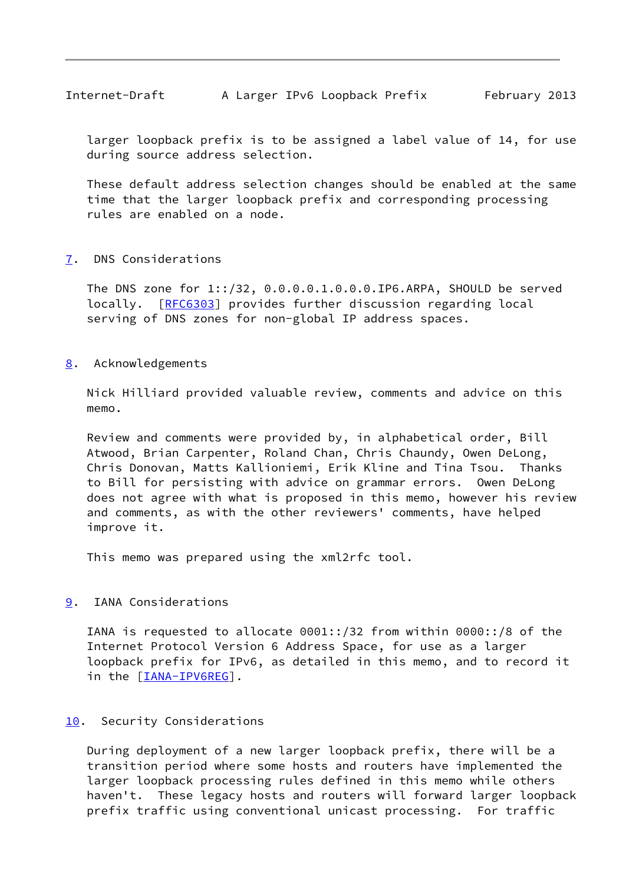<span id="page-9-1"></span> larger loopback prefix is to be assigned a label value of 14, for use during source address selection.

 These default address selection changes should be enabled at the same time that the larger loopback prefix and corresponding processing rules are enabled on a node.

### <span id="page-9-0"></span>[7](#page-9-0). DNS Considerations

 The DNS zone for 1::/32, 0.0.0.0.1.0.0.0.IP6.ARPA, SHOULD be served locally. [[RFC6303](https://datatracker.ietf.org/doc/pdf/rfc6303)] provides further discussion regarding local serving of DNS zones for non-global IP address spaces.

### <span id="page-9-2"></span>[8](#page-9-2). Acknowledgements

 Nick Hilliard provided valuable review, comments and advice on this memo.

 Review and comments were provided by, in alphabetical order, Bill Atwood, Brian Carpenter, Roland Chan, Chris Chaundy, Owen DeLong, Chris Donovan, Matts Kallioniemi, Erik Kline and Tina Tsou. Thanks to Bill for persisting with advice on grammar errors. Owen DeLong does not agree with what is proposed in this memo, however his review and comments, as with the other reviewers' comments, have helped improve it.

This memo was prepared using the xml2rfc tool.

# <span id="page-9-3"></span>[9](#page-9-3). IANA Considerations

 IANA is requested to allocate 0001::/32 from within 0000::/8 of the Internet Protocol Version 6 Address Space, for use as a larger loopback prefix for IPv6, as detailed in this memo, and to record it in the [\[IANA-IPV6REG](#page-11-3)].

### <span id="page-9-4"></span>[10.](#page-9-4) Security Considerations

 During deployment of a new larger loopback prefix, there will be a transition period where some hosts and routers have implemented the larger loopback processing rules defined in this memo while others haven't. These legacy hosts and routers will forward larger loopback prefix traffic using conventional unicast processing. For traffic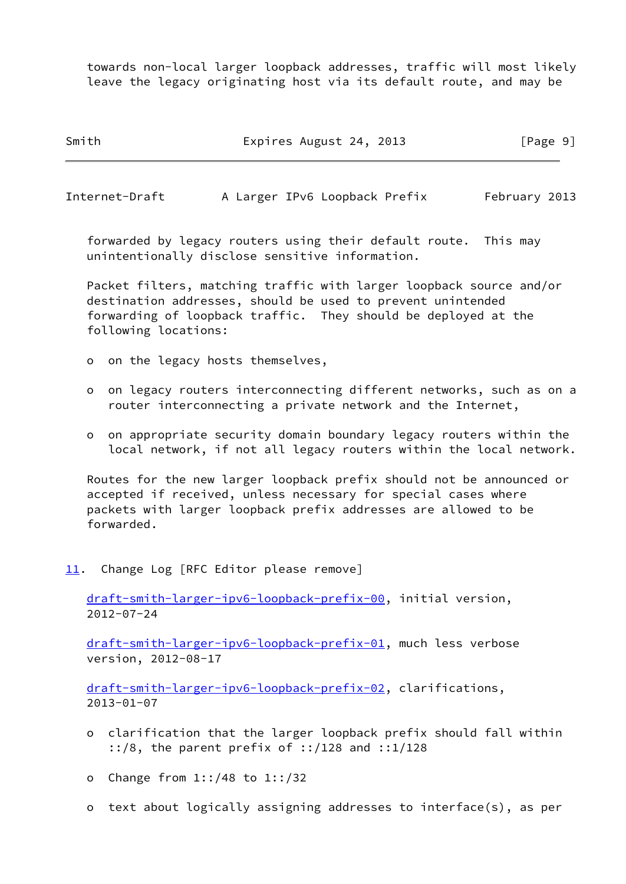towards non-local larger loopback addresses, traffic will most likely leave the legacy originating host via its default route, and may be

Smith Expires August 24, 2013 [Page 9]

<span id="page-10-1"></span>Internet-Draft A Larger IPv6 Loopback Prefix February 2013

 forwarded by legacy routers using their default route. This may unintentionally disclose sensitive information.

 Packet filters, matching traffic with larger loopback source and/or destination addresses, should be used to prevent unintended forwarding of loopback traffic. They should be deployed at the following locations:

- o on the legacy hosts themselves,
- o on legacy routers interconnecting different networks, such as on a router interconnecting a private network and the Internet,
- o on appropriate security domain boundary legacy routers within the local network, if not all legacy routers within the local network.

 Routes for the new larger loopback prefix should not be announced or accepted if received, unless necessary for special cases where packets with larger loopback prefix addresses are allowed to be forwarded.

<span id="page-10-0"></span>[11.](#page-10-0) Change Log [RFC Editor please remove]

 [draft-smith-larger-ipv6-loopback-prefix-00](https://datatracker.ietf.org/doc/pdf/draft-smith-larger-ipv6-loopback-prefix-00), initial version, 2012-07-24

 [draft-smith-larger-ipv6-loopback-prefix-01](https://datatracker.ietf.org/doc/pdf/draft-smith-larger-ipv6-loopback-prefix-01), much less verbose version, 2012-08-17

 [draft-smith-larger-ipv6-loopback-prefix-02](https://datatracker.ietf.org/doc/pdf/draft-smith-larger-ipv6-loopback-prefix-02), clarifications, 2013-01-07

- o clarification that the larger loopback prefix should fall within ::/8, the parent prefix of ::/128 and ::1/128
- o Change from 1::/48 to 1::/32
- o text about logically assigning addresses to interface(s), as per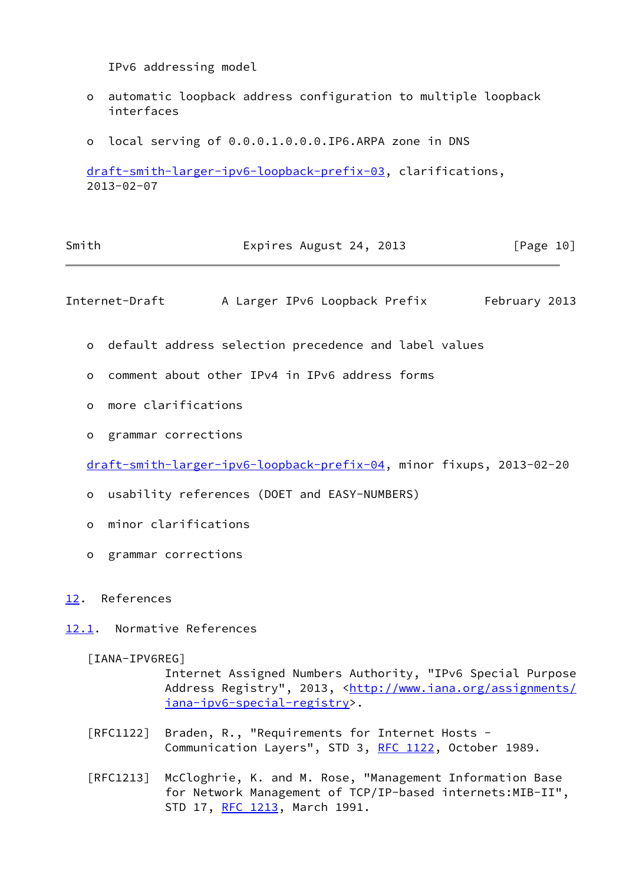IPv6 addressing model

- o automatic loopback address configuration to multiple loopback interfaces
- o local serving of 0.0.0.1.0.0.0.IP6.ARPA zone in DNS

 [draft-smith-larger-ipv6-loopback-prefix-03](https://datatracker.ietf.org/doc/pdf/draft-smith-larger-ipv6-loopback-prefix-03), clarifications, 2013-02-07

| Smith | Expires August 24, 2013 | [Page 10] |  |
|-------|-------------------------|-----------|--|
|       |                         |           |  |

<span id="page-11-1"></span>Internet-Draft A Larger IPv6 Loopback Prefix February 2013

- o default address selection precedence and label values
- o comment about other IPv4 in IPv6 address forms
- o more clarifications
- o grammar corrections

[draft-smith-larger-ipv6-loopback-prefix-04](https://datatracker.ietf.org/doc/pdf/draft-smith-larger-ipv6-loopback-prefix-04), minor fixups, 2013-02-20

- o usability references (DOET and EASY-NUMBERS)
- o minor clarifications
- o grammar corrections

<span id="page-11-0"></span>[12.](#page-11-0) References

<span id="page-11-2"></span>[12.1](#page-11-2). Normative References

<span id="page-11-3"></span>[IANA-IPV6REG]

 Internet Assigned Numbers Authority, "IPv6 Special Purpose Address Registry", 2013, [<http://www.iana.org/assignments/](http://www.iana.org/assignments/iana-ipv6-special-registry) [iana-ipv6-special-registry>](http://www.iana.org/assignments/iana-ipv6-special-registry).

- [RFC1122] Braden, R., "Requirements for Internet Hosts Communication Layers", STD 3, [RFC 1122](https://datatracker.ietf.org/doc/pdf/rfc1122), October 1989.
- [RFC1213] McCloghrie, K. and M. Rose, "Management Information Base for Network Management of TCP/IP-based internets:MIB-II", STD 17, [RFC 1213,](https://datatracker.ietf.org/doc/pdf/rfc1213) March 1991.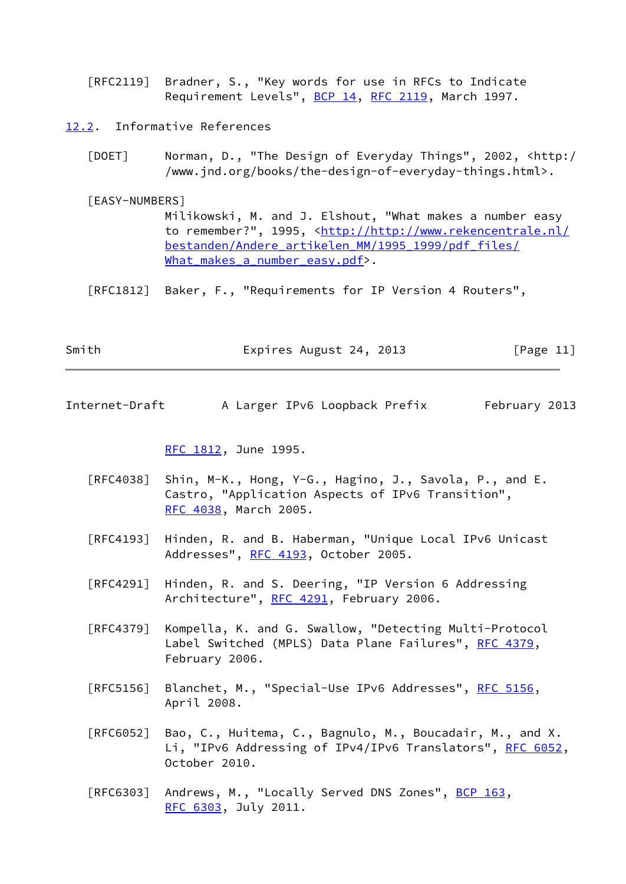[RFC2119] Bradner, S., "Key words for use in RFCs to Indicate Requirement Levels", [BCP 14](https://datatracker.ietf.org/doc/pdf/bcp14), [RFC 2119](https://datatracker.ietf.org/doc/pdf/rfc2119), March 1997.

<span id="page-12-0"></span>[12.2](#page-12-0). Informative References

<span id="page-12-3"></span> [DOET] Norman, D., "The Design of Everyday Things", 2002, <http:/ /www.jnd.org/books/the-design-of-everyday-things.html>.

<span id="page-12-2"></span> [EASY-NUMBERS] Milikowski, M. and J. Elshout, "What makes a number easy to remember?", 1995, [<http://http://www.rekencentrale.nl/](http://http://www.rekencentrale.nl/bestanden/Andere_artikelen_MM/1995_1999/pdf_files/What_makes_a_number_easy.pdf) [bestanden/Andere\\_artikelen\\_MM/1995\\_1999/pdf\\_files/](http://http://www.rekencentrale.nl/bestanden/Andere_artikelen_MM/1995_1999/pdf_files/What_makes_a_number_easy.pdf) What makes a number easy.pdf>.

[RFC1812] Baker, F., "Requirements for IP Version 4 Routers",

| Smith | Expires August 24, 2013 | [Page 11] |
|-------|-------------------------|-----------|
|       |                         |           |

<span id="page-12-1"></span>Internet-Draft A Larger IPv6 Loopback Prefix February 2013

[RFC 1812,](https://datatracker.ietf.org/doc/pdf/rfc1812) June 1995.

- [RFC4038] Shin, M-K., Hong, Y-G., Hagino, J., Savola, P., and E. Castro, "Application Aspects of IPv6 Transition", [RFC 4038,](https://datatracker.ietf.org/doc/pdf/rfc4038) March 2005.
- [RFC4193] Hinden, R. and B. Haberman, "Unique Local IPv6 Unicast Addresses", [RFC 4193,](https://datatracker.ietf.org/doc/pdf/rfc4193) October 2005.
- [RFC4291] Hinden, R. and S. Deering, "IP Version 6 Addressing Architecture", [RFC 4291](https://datatracker.ietf.org/doc/pdf/rfc4291), February 2006.
- [RFC4379] Kompella, K. and G. Swallow, "Detecting Multi-Protocol Label Switched (MPLS) Data Plane Failures", [RFC 4379,](https://datatracker.ietf.org/doc/pdf/rfc4379) February 2006.
- [RFC5156] Blanchet, M., "Special-Use IPv6 Addresses", [RFC 5156,](https://datatracker.ietf.org/doc/pdf/rfc5156) April 2008.
- [RFC6052] Bao, C., Huitema, C., Bagnulo, M., Boucadair, M., and X. Li, "IPv6 Addressing of IPv4/IPv6 Translators", [RFC 6052,](https://datatracker.ietf.org/doc/pdf/rfc6052) October 2010.
- [RFC6303] Andrews, M., "Locally Served DNS Zones", [BCP 163,](https://datatracker.ietf.org/doc/pdf/bcp163) [RFC 6303,](https://datatracker.ietf.org/doc/pdf/rfc6303) July 2011.